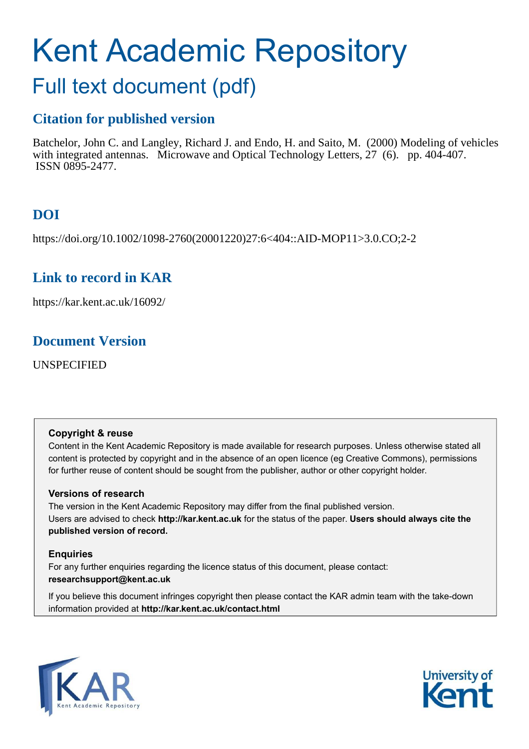# Kent Academic Repository

# Full text document (pdf)

# **Citation for published version**

Batchelor, John C. and Langley, Richard J. and Endo, H. and Saito, M. (2000) Modeling of vehicles with integrated antennas. Microwave and Optical Technology Letters, 27 (6). pp. 404-407. ISSN 0895-2477.

# **DOI**

https://doi.org/10.1002/1098-2760(20001220)27:6<404::AID-MOP11>3.0.CO;2-2

# **Link to record in KAR**

https://kar.kent.ac.uk/16092/

# **Document Version**

UNSPECIFIED

#### **Copyright & reuse**

Content in the Kent Academic Repository is made available for research purposes. Unless otherwise stated all content is protected by copyright and in the absence of an open licence (eg Creative Commons), permissions for further reuse of content should be sought from the publisher, author or other copyright holder.

#### **Versions of research**

The version in the Kent Academic Repository may differ from the final published version. Users are advised to check **http://kar.kent.ac.uk** for the status of the paper. **Users should always cite the published version of record.**

#### **Enquiries**

For any further enquiries regarding the licence status of this document, please contact: **researchsupport@kent.ac.uk**

If you believe this document infringes copyright then please contact the KAR admin team with the take-down information provided at **http://kar.kent.ac.uk/contact.html**



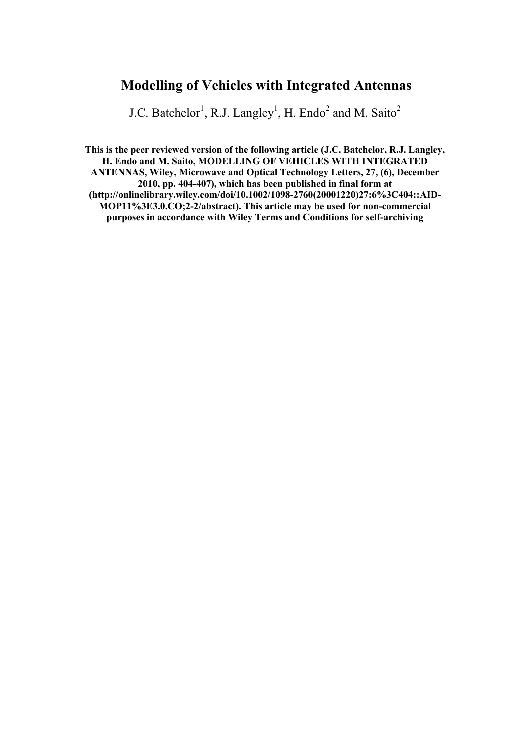# **Modelling of Vehicles with Integrated Antennas**

J.C. Batchelor<sup>1</sup>, R.J. Langley<sup>1</sup>, H. Endo<sup>2</sup> and M. Saito<sup>2</sup>

**This is the peer reviewed version of the following article (J.C. Batchelor, R.J. Langley, H. Endo and M. Saito, MODELLING OF VEHICLES WITH INTEGRATED ANTENNAS, Wiley, Microwave and Optical Technology Letters, 27, (6), December 2010, pp. 404-407), which has been published in final form at (http://onlinelibrary.wiley.com/doi/10.1002/1098-2760(20001220)27:6%3C404::AID-MOP11%3E3.0.CO;2-2/abstract). This article may be used for non-commercial purposes in accordance with Wiley Terms and Conditions for self-archiving**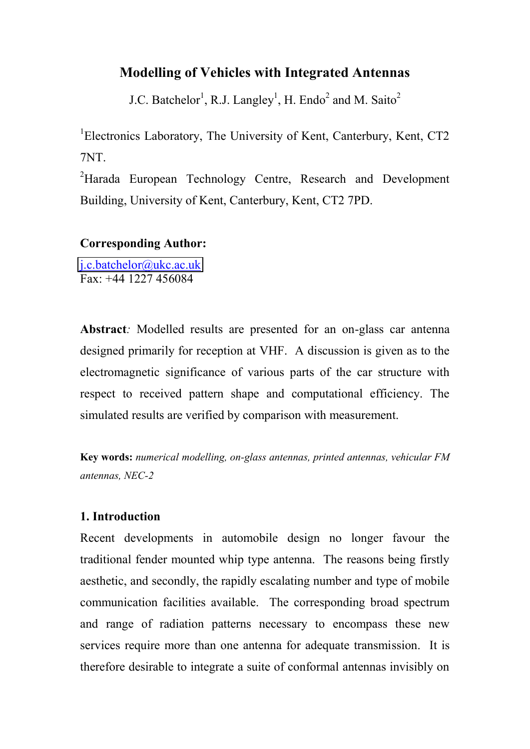### **Modelling of Vehicles with Integrated Antennas**

J.C. Batchelor<sup>1</sup>, R.J. Langley<sup>1</sup>, H. Endo<sup>2</sup> and M. Saito<sup>2</sup>

<sup>1</sup>Electronics Laboratory, The University of Kent, Canterbury, Kent, CT2 7NT.

<sup>2</sup>Harada European Technology Centre, Research and Development Building, University of Kent, Canterbury, Kent, CT2 7PD.

#### **Corresponding Author:**

[j.c.batchelor@ukc.ac.uk](mailto:j.c.batchelor@ukc.ac.uk)  $Fax + 44 1227 456084$ 

**Abstract***:* Modelled results are presented for an on-glass car antenna designed primarily for reception at VHF. A discussion is given as to the electromagnetic significance of various parts of the car structure with respect to received pattern shape and computational efficiency. The simulated results are verified by comparison with measurement.

**Key words:** *numerical modelling, on-glass antennas, printed antennas, vehicular FM antennas, NEC-2* 

#### **1. Introduction**

Recent developments in automobile design no longer favour the traditional fender mounted whip type antenna. The reasons being firstly aesthetic, and secondly, the rapidly escalating number and type of mobile communication facilities available. The corresponding broad spectrum and range of radiation patterns necessary to encompass these new services require more than one antenna for adequate transmission. It is therefore desirable to integrate a suite of conformal antennas invisibly on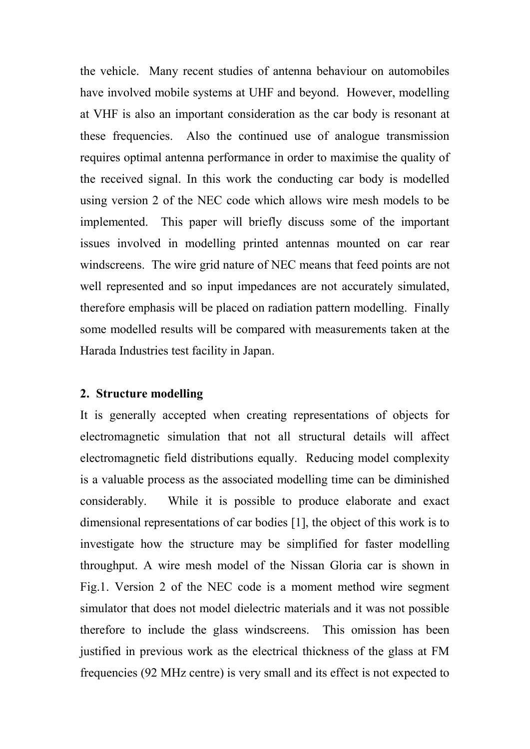the vehicle. Many recent studies of antenna behaviour on automobiles have involved mobile systems at UHF and beyond. However, modelling at VHF is also an important consideration as the car body is resonant at these frequencies. Also the continued use of analogue transmission requires optimal antenna performance in order to maximise the quality of the received signal. In this work the conducting car body is modelled using version 2 of the NEC code which allows wire mesh models to be implemented. This paper will briefly discuss some of the important issues involved in modelling printed antennas mounted on car rear windscreens. The wire grid nature of NEC means that feed points are not well represented and so input impedances are not accurately simulated, therefore emphasis will be placed on radiation pattern modelling. Finally some modelled results will be compared with measurements taken at the Harada Industries test facility in Japan.

#### **2. Structure modelling**

It is generally accepted when creating representations of objects for electromagnetic simulation that not all structural details will affect electromagnetic field distributions equally. Reducing model complexity is a valuable process as the associated modelling time can be diminished considerably. While it is possible to produce elaborate and exact dimensional representations of car bodies [1], the object of this work is to investigate how the structure may be simplified for faster modelling throughput. A wire mesh model of the Nissan Gloria car is shown in Fig.1. Version 2 of the NEC code is a moment method wire segment simulator that does not model dielectric materials and it was not possible therefore to include the glass windscreens. This omission has been justified in previous work as the electrical thickness of the glass at FM frequencies (92 MHz centre) is very small and its effect is not expected to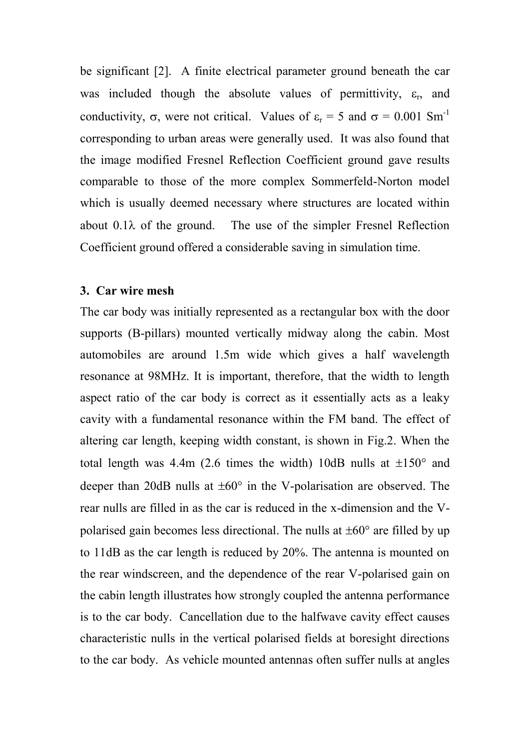be significant [2]. A finite electrical parameter ground beneath the car was included though the absolute values of permittivity,  $\varepsilon_r$ , and conductivity,  $\sigma$ , were not critical. Values of  $\varepsilon_r = 5$  and  $\sigma = 0.001$  Sm<sup>-1</sup> corresponding to urban areas were generally used. It was also found that the image modified Fresnel Reflection Coefficient ground gave results comparable to those of the more complex Sommerfeld-Norton model which is usually deemed necessary where structures are located within about  $0.1\lambda$  of the ground. The use of the simpler Fresnel Reflection Coefficient ground offered a considerable saving in simulation time.

#### **3. Car wire mesh**

The car body was initially represented as a rectangular box with the door supports (B-pillars) mounted vertically midway along the cabin. Most automobiles are around 1.5m wide which gives a half wavelength resonance at 98MHz. It is important, therefore, that the width to length aspect ratio of the car body is correct as it essentially acts as a leaky cavity with a fundamental resonance within the FM band. The effect of altering car length, keeping width constant, is shown in Fig.2. When the total length was 4.4m (2.6 times the width) 10dB nulls at  $\pm 150^\circ$  and deeper than 20dB nulls at  $\pm 60^\circ$  in the V-polarisation are observed. The rear nulls are filled in as the car is reduced in the x-dimension and the Vpolarised gain becomes less directional. The nulls at  $\pm 60^\circ$  are filled by up to 11dB as the car length is reduced by 20%. The antenna is mounted on the rear windscreen, and the dependence of the rear V-polarised gain on the cabin length illustrates how strongly coupled the antenna performance is to the car body. Cancellation due to the halfwave cavity effect causes characteristic nulls in the vertical polarised fields at boresight directions to the car body. As vehicle mounted antennas often suffer nulls at angles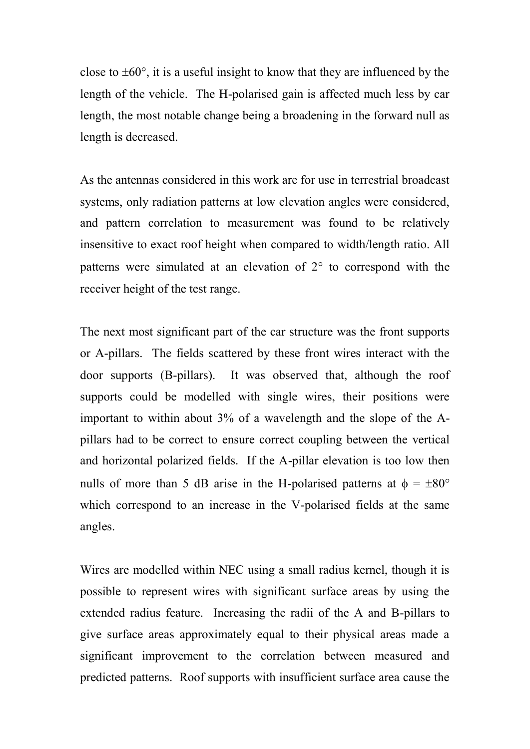close to  $\pm 60^{\circ}$ , it is a useful insight to know that they are influenced by the length of the vehicle. The H-polarised gain is affected much less by car length, the most notable change being a broadening in the forward null as length is decreased.

As the antennas considered in this work are for use in terrestrial broadcast systems, only radiation patterns at low elevation angles were considered, and pattern correlation to measurement was found to be relatively insensitive to exact roof height when compared to width/length ratio. All patterns were simulated at an elevation of  $2^{\circ}$  to correspond with the receiver height of the test range.

The next most significant part of the car structure was the front supports or A-pillars. The fields scattered by these front wires interact with the door supports (B-pillars). It was observed that, although the roof supports could be modelled with single wires, their positions were important to within about 3% of a wavelength and the slope of the Apillars had to be correct to ensure correct coupling between the vertical and horizontal polarized fields. If the A-pillar elevation is too low then nulls of more than 5 dB arise in the H-polarised patterns at  $\phi = \pm 80^{\circ}$ which correspond to an increase in the V-polarised fields at the same angles.

Wires are modelled within NEC using a small radius kernel, though it is possible to represent wires with significant surface areas by using the extended radius feature. Increasing the radii of the A and B-pillars to give surface areas approximately equal to their physical areas made a significant improvement to the correlation between measured and predicted patterns. Roof supports with insufficient surface area cause the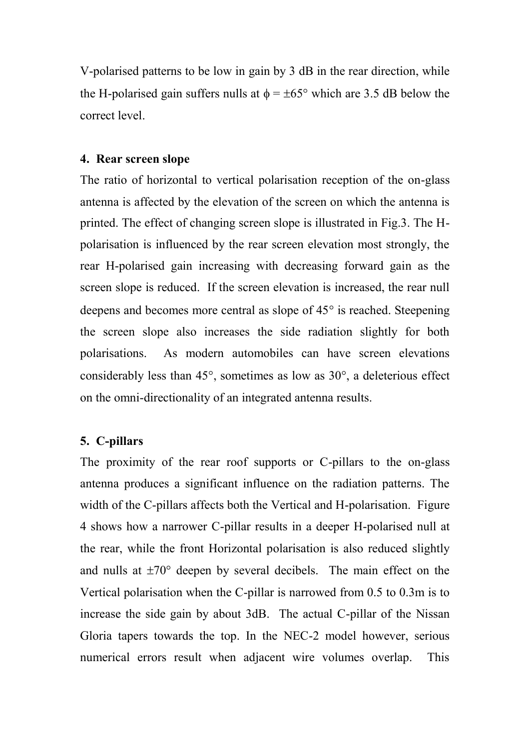V-polarised patterns to be low in gain by 3 dB in the rear direction, while the H-polarised gain suffers nulls at  $\phi = \pm 65^{\circ}$  which are 3.5 dB below the correct level.

#### **4. Rear screen slope**

The ratio of horizontal to vertical polarisation reception of the on-glass antenna is affected by the elevation of the screen on which the antenna is printed. The effect of changing screen slope is illustrated in Fig.3. The Hpolarisation is influenced by the rear screen elevation most strongly, the rear H-polarised gain increasing with decreasing forward gain as the screen slope is reduced. If the screen elevation is increased, the rear null deepens and becomes more central as slope of  $45^{\circ}$  is reached. Steepening the screen slope also increases the side radiation slightly for both polarisations. As modern automobiles can have screen elevations considerably less than  $45^{\circ}$ , sometimes as low as  $30^{\circ}$ , a deleterious effect on the omni-directionality of an integrated antenna results.

#### **5. C-pillars**

The proximity of the rear roof supports or C-pillars to the on-glass antenna produces a significant influence on the radiation patterns. The width of the C-pillars affects both the Vertical and H-polarisation. Figure 4 shows how a narrower C-pillar results in a deeper H-polarised null at the rear, while the front Horizontal polarisation is also reduced slightly and nulls at  $\pm 70^{\circ}$  deepen by several decibels. The main effect on the Vertical polarisation when the C-pillar is narrowed from 0.5 to 0.3m is to increase the side gain by about 3dB. The actual C-pillar of the Nissan Gloria tapers towards the top. In the NEC-2 model however, serious numerical errors result when adjacent wire volumes overlap. This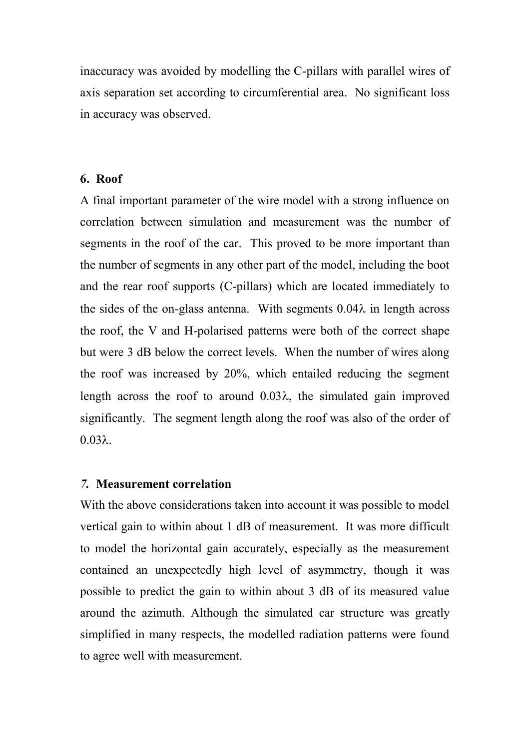inaccuracy was avoided by modelling the C-pillars with parallel wires of axis separation set according to circumferential area. No significant loss in accuracy was observed.

#### **6. Roof**

A final important parameter of the wire model with a strong influence on correlation between simulation and measurement was the number of segments in the roof of the car. This proved to be more important than the number of segments in any other part of the model, including the boot and the rear roof supports (C-pillars) which are located immediately to the sides of the on-glass antenna. With segments  $0.04\lambda$  in length across the roof, the V and H-polarised patterns were both of the correct shape but were 3 dB below the correct levels. When the number of wires along the roof was increased by 20%, which entailed reducing the segment length across the roof to around  $0.03\lambda$ , the simulated gain improved significantly. The segment length along the roof was also of the order of  $0.03\lambda$ 

#### *7.* **Measurement correlation**

With the above considerations taken into account it was possible to model vertical gain to within about 1 dB of measurement. It was more difficult to model the horizontal gain accurately, especially as the measurement contained an unexpectedly high level of asymmetry, though it was possible to predict the gain to within about 3 dB of its measured value around the azimuth. Although the simulated car structure was greatly simplified in many respects, the modelled radiation patterns were found to agree well with measurement.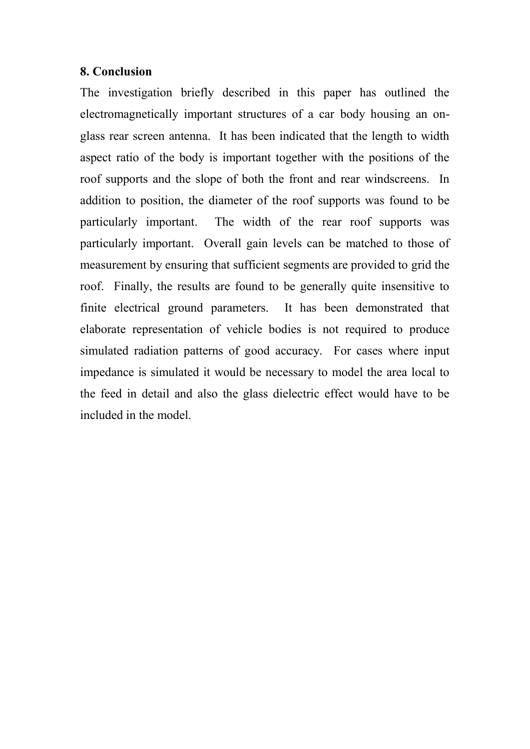#### **8. Conclusion**

The investigation briefly described in this paper has outlined the electromagnetically important structures of a car body housing an onglass rear screen antenna. It has been indicated that the length to width aspect ratio of the body is important together with the positions of the roof supports and the slope of both the front and rear windscreens. In addition to position, the diameter of the roof supports was found to be particularly important. The width of the rear roof supports was particularly important. Overall gain levels can be matched to those of measurement by ensuring that sufficient segments are provided to grid the roof. Finally, the results are found to be generally quite insensitive to finite electrical ground parameters. It has been demonstrated that elaborate representation of vehicle bodies is not required to produce simulated radiation patterns of good accuracy. For cases where input impedance is simulated it would be necessary to model the area local to the feed in detail and also the glass dielectric effect would have to be included in the model.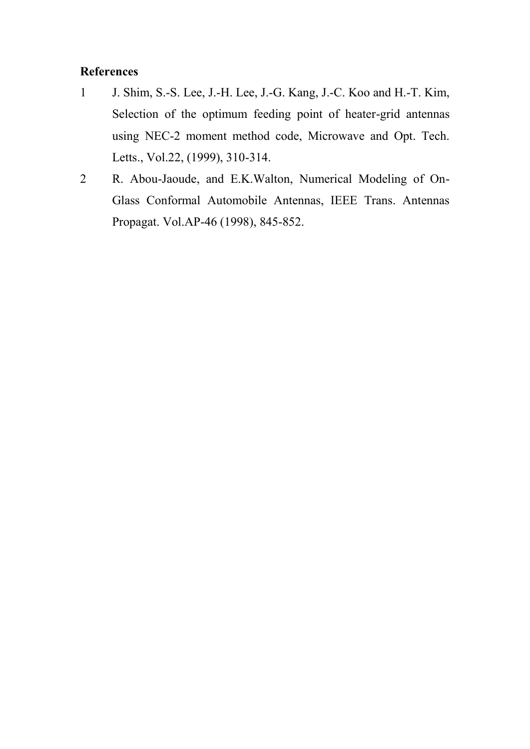#### **References**

- 1 J. Shim, S.-S. Lee, J.-H. Lee, J.-G. Kang, J.-C. Koo and H.-T. Kim, Selection of the optimum feeding point of heater-grid antennas using NEC-2 moment method code, Microwave and Opt. Tech. Letts., Vol.22, (1999), 310-314.
- 2 R. Abou-Jaoude, and E.K.Walton, Numerical Modeling of On-Glass Conformal Automobile Antennas, IEEE Trans. Antennas Propagat. Vol.AP-46 (1998), 845-852.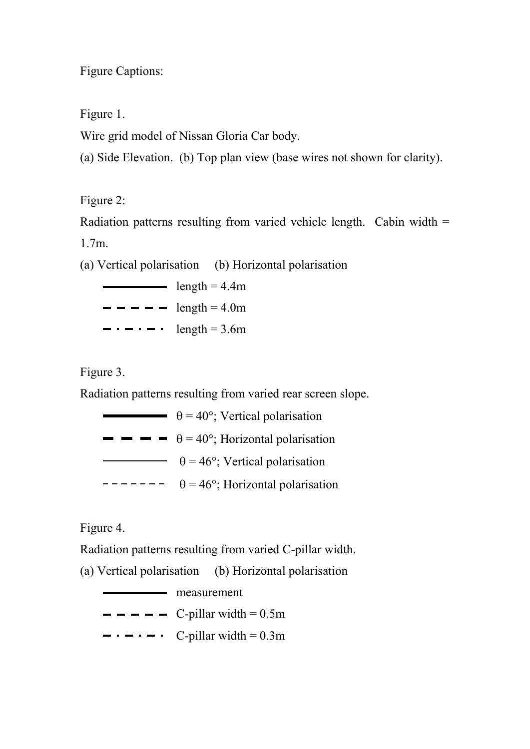Figure Captions:

Figure 1.

Wire grid model of Nissan Gloria Car body.

(a) Side Elevation. (b) Top plan view (base wires not shown for clarity).

Figure 2:

Radiation patterns resulting from varied vehicle length. Cabin width = 1.7m.

(a) Vertical polarisation (b) Horizontal polarisation

 $\frac{\text{length} = 4.4 \text{m}}{2}$  $- - - -$  length = 4.0m  $\cdots$   $\cdots$   $\cdots$  length = 3.6m

Figure 3.

Radiation patterns resulting from varied rear screen slope.

 $\theta = 40^{\circ}$ : Vertical polarisation  $\blacksquare$   $\blacksquare$   $\blacksquare$   $\blacksquare$   $\blacksquare$   $\uparrow$   $\uparrow$   $\uparrow$   $\uparrow$   $\uparrow$   $\uparrow$   $\uparrow$   $\uparrow$   $\uparrow$   $\uparrow$   $\uparrow$   $\uparrow$   $\uparrow$   $\uparrow$   $\uparrow$   $\uparrow$   $\uparrow$   $\uparrow$   $\uparrow$   $\uparrow$   $\uparrow$   $\uparrow$   $\uparrow$   $\uparrow$   $\uparrow$   $\uparrow$   $\uparrow$   $\uparrow$   $\uparrow$   $\uparrow$   $\uparrow$   $\theta = 46^\circ$ ; Vertical polarisation  $\overline{\phantom{a}}$  =  $\overline{\phantom{a}}$  = 46°; Horizontal polarisation

Figure 4.

Radiation patterns resulting from varied C-pillar width.

(a) Vertical polarisation (b) Horizontal polarisation

— measurement  $\blacksquare$   $\blacksquare$   $\blacksquare$   $\blacksquare$   $\blacksquare$   $\blacksquare$   $\blacksquare$   $\blacksquare$   $\blacksquare$   $\blacksquare$   $\blacksquare$   $\blacksquare$   $\blacksquare$   $\blacksquare$   $\blacksquare$   $\blacksquare$   $\blacksquare$   $\blacksquare$   $\blacksquare$   $\blacksquare$   $\blacksquare$   $\blacksquare$   $\blacksquare$   $\blacksquare$   $\blacksquare$   $\blacksquare$   $\blacksquare$   $\blacksquare$   $\blacksquare$   $\blacksquare$   $\blacksquare$   $\blacks$  $\blacksquare$   $\blacksquare$   $\blacksquare$   $\blacksquare$   $\blacksquare$   $\blacksquare$   $\blacksquare$   $\blacksquare$   $\blacksquare$   $\blacksquare$   $\blacksquare$   $\blacksquare$   $\blacksquare$   $\blacksquare$   $\blacksquare$   $\blacksquare$   $\blacksquare$   $\blacksquare$   $\blacksquare$   $\blacksquare$   $\blacksquare$   $\blacksquare$   $\blacksquare$   $\blacksquare$   $\blacksquare$   $\blacksquare$   $\blacksquare$   $\blacksquare$   $\blacksquare$   $\blacksquare$   $\blacksquare$   $\blacks$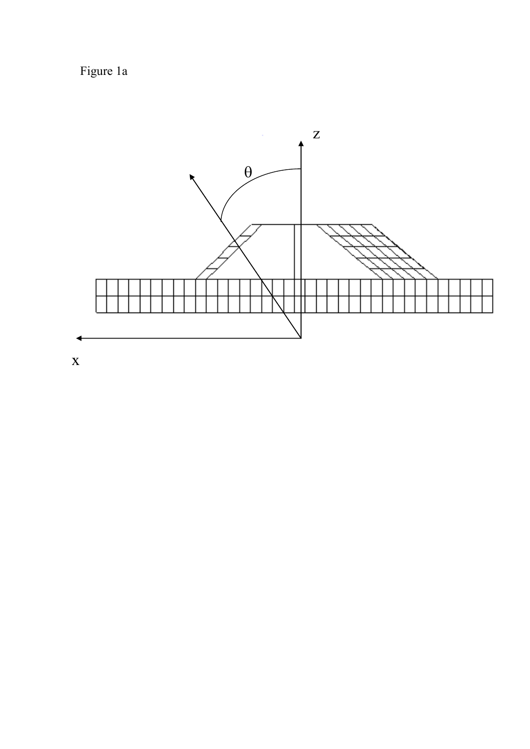Figure 1a



x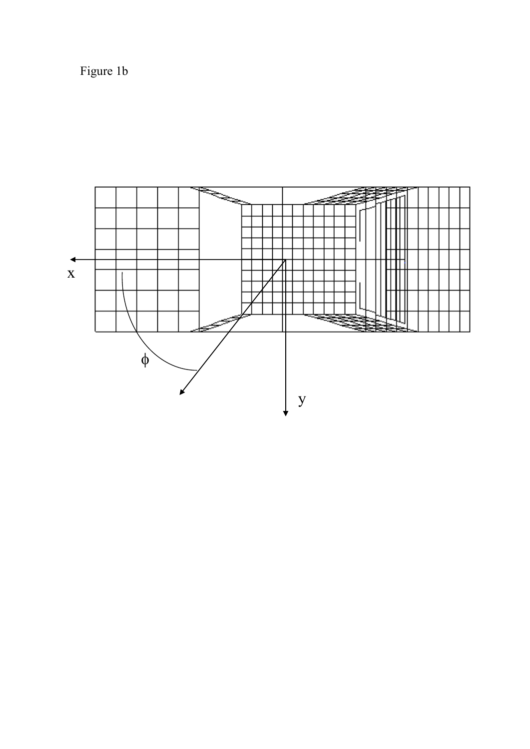Figure 1b

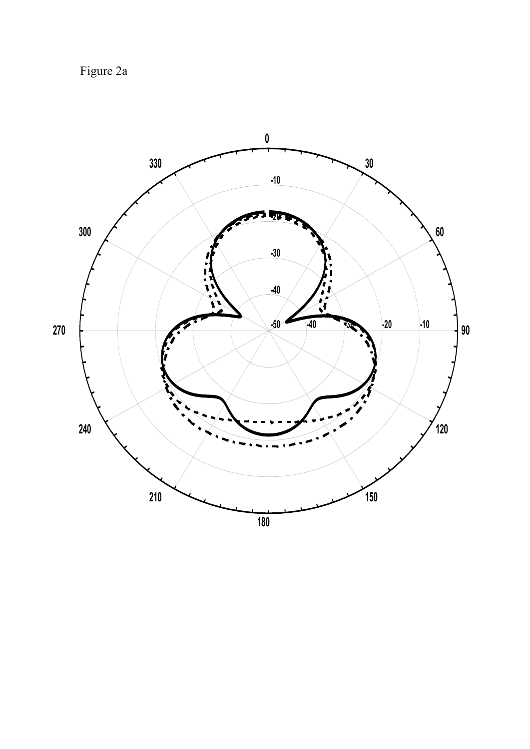Figure 2a

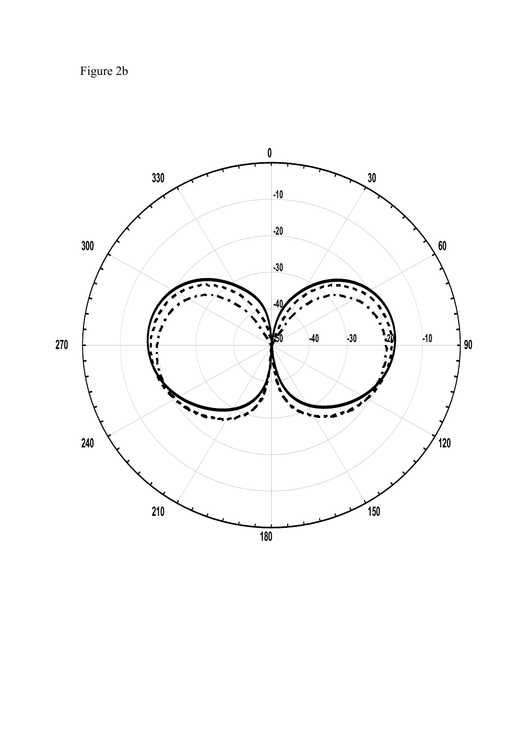Figure 2b

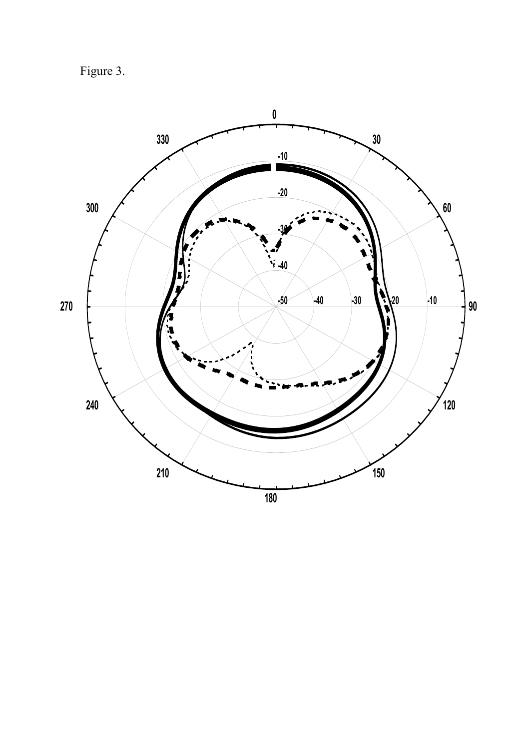Figure 3.

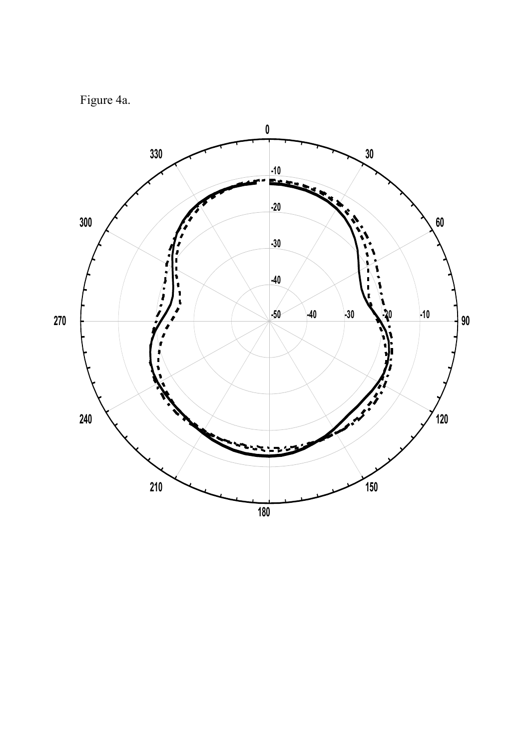# Figure 4a.